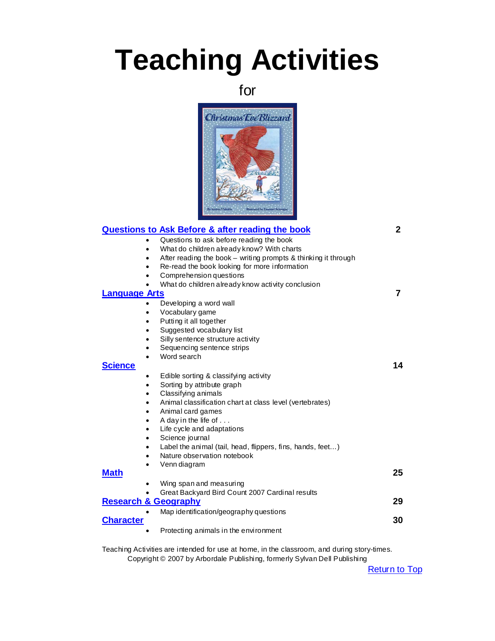# <span id="page-0-0"></span>**Teaching Activities**

for



|                      | <u>Questions to Ask Before &amp; after reading the book</u>                 | 2  |
|----------------------|-----------------------------------------------------------------------------|----|
|                      | Questions to ask before reading the book<br>$\bullet$                       |    |
|                      | What do children already know? With charts<br>$\bullet$                     |    |
|                      | After reading the book - writing prompts & thinking it through<br>$\bullet$ |    |
|                      | Re-read the book looking for more information<br>$\bullet$                  |    |
|                      | Comprehension questions<br>$\bullet$                                        |    |
|                      | What do children already know activity conclusion<br>$\bullet$              |    |
| <b>Language Arts</b> |                                                                             | 7  |
|                      | Developing a word wall<br>$\bullet$                                         |    |
|                      | Vocabulary game<br>$\bullet$                                                |    |
|                      | Putting it all together<br>$\bullet$                                        |    |
|                      | Suggested vocabulary list<br>$\bullet$                                      |    |
|                      | Silly sentence structure activity<br>$\bullet$                              |    |
|                      | Sequencing sentence strips<br>$\bullet$                                     |    |
|                      | Word search<br>$\bullet$                                                    |    |
| <b>Science</b>       |                                                                             | 14 |
|                      | Edible sorting & classifying activity<br>$\bullet$                          |    |
|                      | Sorting by attribute graph<br>$\bullet$                                     |    |
|                      | Classifying animals<br>$\bullet$                                            |    |
|                      | Animal classification chart at class level (vertebrates)<br>$\bullet$       |    |
|                      | Animal card games<br>$\bullet$                                              |    |
|                      | A day in the life of<br>$\bullet$                                           |    |
|                      | Life cycle and adaptations<br>$\bullet$                                     |    |
|                      | Science journal<br>$\bullet$                                                |    |
|                      | Label the animal (tail, head, flippers, fins, hands, feet)<br>$\bullet$     |    |
|                      | Nature observation notebook<br>$\bullet$                                    |    |
|                      | Venn diagram<br>$\bullet$                                                   |    |
| <b>Math</b>          |                                                                             | 25 |
|                      | Wing span and measuring                                                     |    |
|                      | Great Backyard Bird Count 2007 Cardinal results                             |    |
|                      | <b>Research &amp; Geography</b>                                             | 29 |
|                      | Map identification/geography questions                                      |    |
| <b>Character</b>     |                                                                             | 30 |
|                      | Protecting animals in the environment                                       |    |
|                      |                                                                             |    |

Teaching Activities are intended for use at home, in the classroom, and during story-times. Copyright © 2007 by Arbordale Publishing, formerly Sylvan Dell Publishing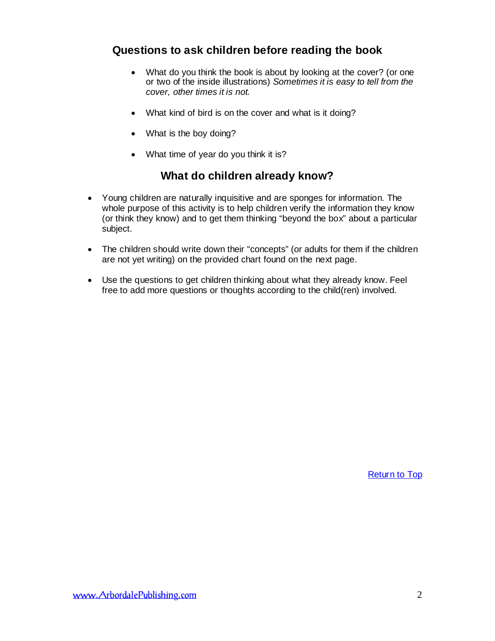# <span id="page-1-0"></span>**Questions to ask children before reading the book**

- What do you think the book is about by looking at the cover? (or one or two of the inside illustrations) *Sometimes it is easy to tell from the cover, other times it is not.*
- What kind of bird is on the cover and what is it doing?
- What is the boy doing?
- What time of year do you think it is?

# **What do children already know?**

- Young children are naturally inquisitive and are sponges for information. The whole purpose of this activity is to help children verify the information they know (or think they know) and to get them thinking "beyond the box" about a particular subject.
- The children should write down their "concepts" (or adults for them if the children are not yet writing) on the provided chart found on the next page.
- Use the questions to get children thinking about what they already know. Feel free to add more questions or thoughts according to the child(ren) involved.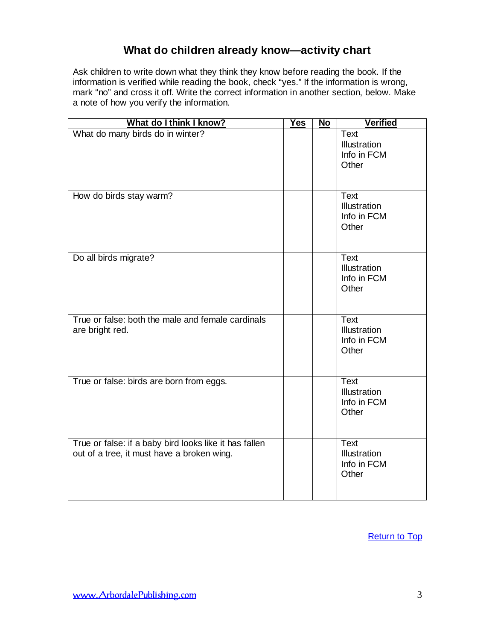# **What do children already know—activity chart**

Ask children to write down what they think they know before reading the book. If the information is verified while reading the book, check "yes." If the information is wrong, mark "no" and cross it off. Write the correct information in another section, below. Make a note of how you verify the information.

| What do I think I know?                                                                              | <b>Yes</b> | No | <b>Verified</b>                                            |
|------------------------------------------------------------------------------------------------------|------------|----|------------------------------------------------------------|
| What do many birds do in winter?                                                                     |            |    | <b>Text</b><br>Illustration<br>Info in FCM<br>Other        |
| How do birds stay warm?                                                                              |            |    | <b>Text</b><br>Illustration<br>Info in FCM<br>Other        |
| Do all birds migrate?                                                                                |            |    | <b>Text</b><br><b>Illustration</b><br>Info in FCM<br>Other |
| True or false: both the male and female cardinals<br>are bright red.                                 |            |    | <b>Text</b><br><b>Illustration</b><br>Info in FCM<br>Other |
| True or false: birds are born from eggs.                                                             |            |    | Text<br>Illustration<br>Info in FCM<br>Other               |
| True or false: if a baby bird looks like it has fallen<br>out of a tree, it must have a broken wing. |            |    | Text<br>Illustration<br>Info in FCM<br>Other               |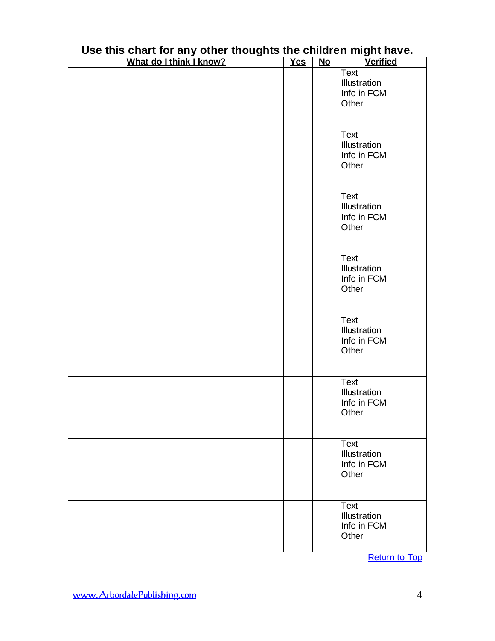| What do I think I know? | <b>Yes</b> | $\overline{\text{No}}$ | <b>Verified</b>                                     |
|-------------------------|------------|------------------------|-----------------------------------------------------|
|                         |            |                        | <b>Text</b><br>Illustration<br>Info in FCM<br>Other |
|                         |            |                        | <b>Text</b><br>Illustration<br>Info in FCM<br>Other |
|                         |            |                        | Text<br>Illustration<br>Info in FCM<br>Other        |
|                         |            |                        | Text<br>Illustration<br>Info in FCM<br>Other        |
|                         |            |                        | Text<br>Illustration<br>Info in FCM<br>Other        |
|                         |            |                        | Text<br>Illustration<br>Info in FCM<br>Other        |
|                         |            |                        | Text<br>Illustration<br>Info in FCM<br>Other        |
|                         |            |                        | <b>Text</b><br>Illustration<br>Info in FCM<br>Other |

# **Use this chart for any other thoughts the children might have.**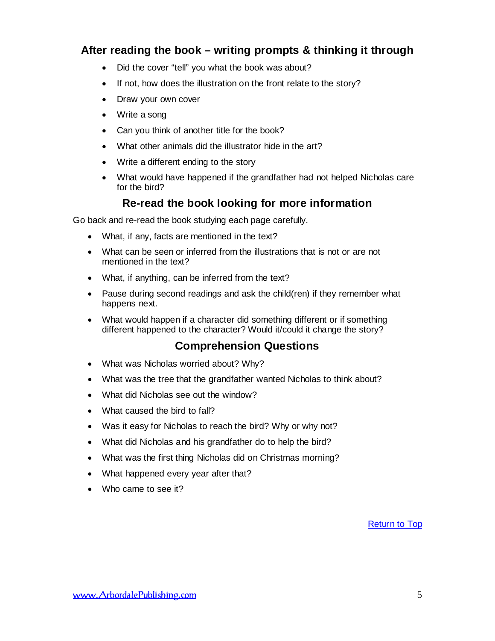# **After reading the book – writing prompts & thinking it through**

- Did the cover "tell" you what the book was about?
- If not, how does the illustration on the front relate to the story?
- Draw your own cover
- Write a song
- Can you think of another title for the book?
- What other animals did the illustrator hide in the art?
- Write a different ending to the story
- What would have happened if the grandfather had not helped Nicholas care for the bird?

# **Re-read the book looking for more information**

Go back and re-read the book studying each page carefully.

- What, if any, facts are mentioned in the text?
- What can be seen or inferred from the illustrations that is not or are not mentioned in the text?
- What, if anything, can be inferred from the text?
- Pause during second readings and ask the child(ren) if they remember what happens next.
- What would happen if a character did something different or if something different happened to the character? Would it/could it change the story?

# **Comprehension Questions**

- What was Nicholas worried about? Why?
- What was the tree that the grandfather wanted Nicholas to think about?
- What did Nicholas see out the window?
- What caused the bird to fall?
- Was it easy for Nicholas to reach the bird? Why or why not?
- What did Nicholas and his grandfather do to help the bird?
- What was the first thing Nicholas did on Christmas morning?
- What happened every year after that?
- Who came to see it?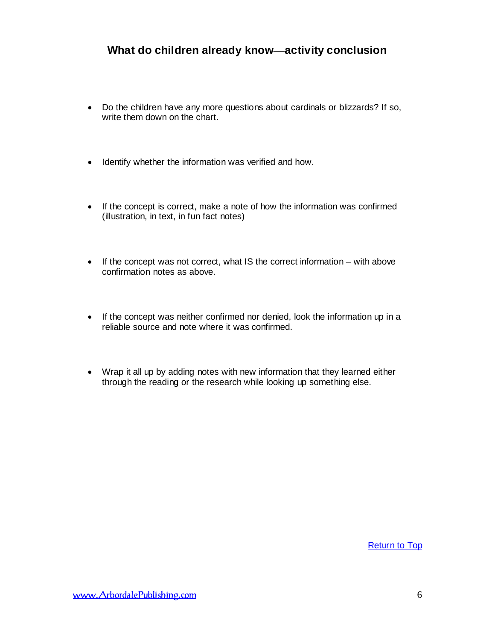# **What do children already know—activity conclusion**

- Do the children have any more questions about cardinals or blizzards? If so, write them down on the chart.
- Identify whether the information was verified and how.
- If the concept is correct, make a note of how the information was confirmed (illustration, in text, in fun fact notes)
- If the concept was not correct, what IS the correct information with above confirmation notes as above.
- If the concept was neither confirmed nor denied, look the information up in a reliable source and note where it was confirmed.
- Wrap it all up by adding notes with new information that they learned either through the reading or the research while looking up something else.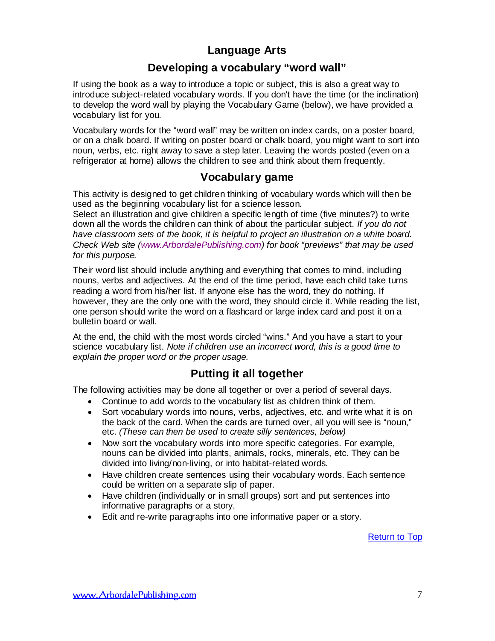# **Language Arts**

# **Developing a vocabulary "word wall"**

<span id="page-6-0"></span>If using the book as a way to introduce a topic or subject, this is also a great way to introduce subject-related vocabulary words. If you don't have the time (or the inclination) to develop the word wall by playing the Vocabulary Game (below), we have provided a vocabulary list for you.

Vocabulary words for the "word wall" may be written on index cards, on a poster board, or on a chalk board. If writing on poster board or chalk board, you might want to sort into noun, verbs, etc. right away to save a step later. Leaving the words posted (even on a refrigerator at home) allows the children to see and think about them frequently.

# **Vocabulary game**

This activity is designed to get children thinking of vocabulary words which will then be used as the beginning vocabulary list for a science lesson.

Select an illustration and give children a specific length of time (five minutes?) to write down all the words the children can think of about the particular subject. *If you do not have classroom sets of the book, it is helpful to project an illustration on a white board. Check Web site [\(www.ArbordalePublishing.com\)](http://www.arbordalepublishing.com/) for book "previews" that may be used for this purpose.*

Their word list should include anything and everything that comes to mind, including nouns, verbs and adjectives. At the end of the time period, have each child take turns reading a word from his/her list. If anyone else has the word, they do nothing. If however, they are the only one with the word, they should circle it. While reading the list, one person should write the word on a flashcard or large index card and post it on a bulletin board or wall.

At the end, the child with the most words circled "wins." And you have a start to your science vocabulary list. *Note if children use an incorrect word, this is a good time to explain the proper word or the proper usage.*

# **Putting it all together**

The following activities may be done all together or over a period of several days.

- Continue to add words to the vocabulary list as children think of them.
- Sort vocabulary words into nouns, verbs, adjectives, etc. and write what it is on the back of the card. When the cards are turned over, all you will see is "noun," etc. *(These can then be used to create silly sentences, below)*
- Now sort the vocabulary words into more specific categories. For example, nouns can be divided into plants, animals, rocks, minerals, etc. They can be divided into living/non-living, or into habitat-related words.
- Have children create sentences using their vocabulary words. Each sentence could be written on a separate slip of paper.
- Have children (individually or in small groups) sort and put sentences into informative paragraphs or a story.
- Edit and re-write paragraphs into one informative paper or a story.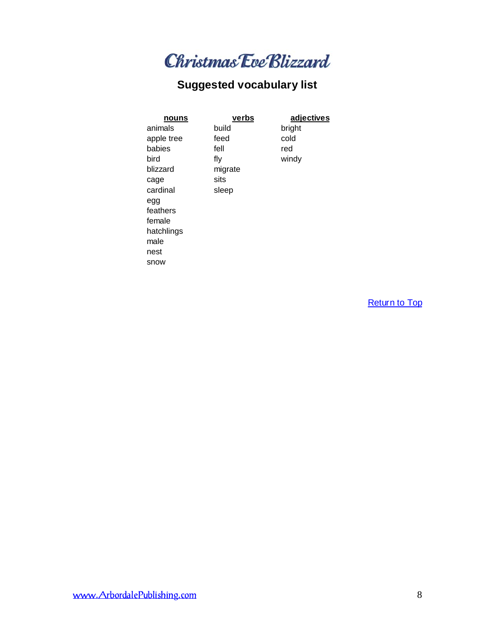

# **Suggested vocabulary list**

| nouns           | verbs   | adjectives |
|-----------------|---------|------------|
| animals         | build   | bright     |
| apple tree      | feed    | cold       |
| babies          | fell    | red        |
| bird            | fly     | windy      |
| blizzard        | migrate |            |
| cage            | sits    |            |
| cardinal        | sleep   |            |
| egg<br>feathers |         |            |
| female          |         |            |
| hatchlings      |         |            |
| male            |         |            |
| nest            |         |            |
| snow            |         |            |
|                 |         |            |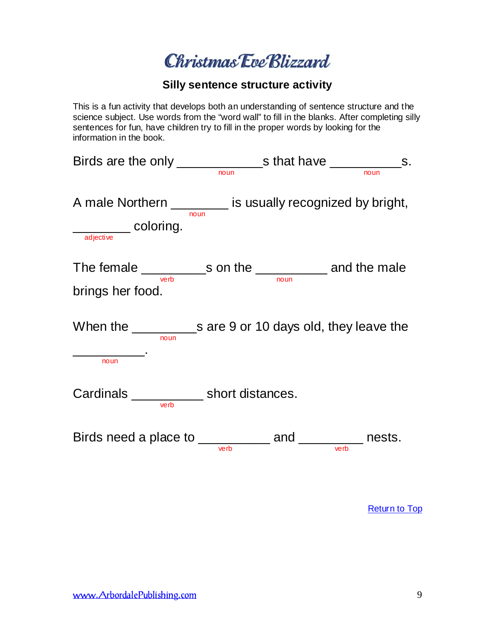Christmas Eve Blizzard

### **Silly sentence structure activity**

This is a fun activity that develops both an understanding of sentence structure and the science subject. Use words from the "word wall" to fill in the blanks. After completing silly sentences for fun, have children try to fill in the proper words by looking for the information in the book.

| Birds are the only $\frac{1}{\sqrt{1-\frac{1}{\sqrt{1-\frac{1}{\sqrt{1-\frac{1}{\sqrt{1-\frac{1}{\sqrt{1-\frac{1}{\sqrt{1-\frac{1}{\sqrt{1-\frac{1}{\sqrt{1-\frac{1}{\sqrt{1-\frac{1}{\sqrt{1-\frac{1}{\sqrt{1-\frac{1}{\sqrt{1-\frac{1}{\sqrt{1-\frac{1}{\sqrt{1-\frac{1}{\sqrt{1-\frac{1}{\sqrt{1-\frac{1}{\sqrt{1-\frac{1}{\sqrt{1-\frac{1}{\sqrt{1-\frac{1}{\sqrt{1-\frac{1}{\sqrt{1-\frac{1}{\sqrt{1-\frac{$ |      |      |  |
|-------------------------------------------------------------------------------------------------------------------------------------------------------------------------------------------------------------------------------------------------------------------------------------------------------------------------------------------------------------------------------------------------------------------|------|------|--|
|                                                                                                                                                                                                                                                                                                                                                                                                                   |      |      |  |
| A male Northern __________ is usually recognized by bright,                                                                                                                                                                                                                                                                                                                                                       |      |      |  |
| adjective coloring.                                                                                                                                                                                                                                                                                                                                                                                               | noun |      |  |
| The female ______________s on the ______________ and the male                                                                                                                                                                                                                                                                                                                                                     |      |      |  |
| verb<br>brings her food.                                                                                                                                                                                                                                                                                                                                                                                          |      | noun |  |
| noun                                                                                                                                                                                                                                                                                                                                                                                                              |      |      |  |
| noun                                                                                                                                                                                                                                                                                                                                                                                                              |      |      |  |
| Cardinals ______________ short distances.<br>verb                                                                                                                                                                                                                                                                                                                                                                 |      |      |  |
| Birds need a place to __________ and ________ nests.                                                                                                                                                                                                                                                                                                                                                              |      |      |  |
|                                                                                                                                                                                                                                                                                                                                                                                                                   |      |      |  |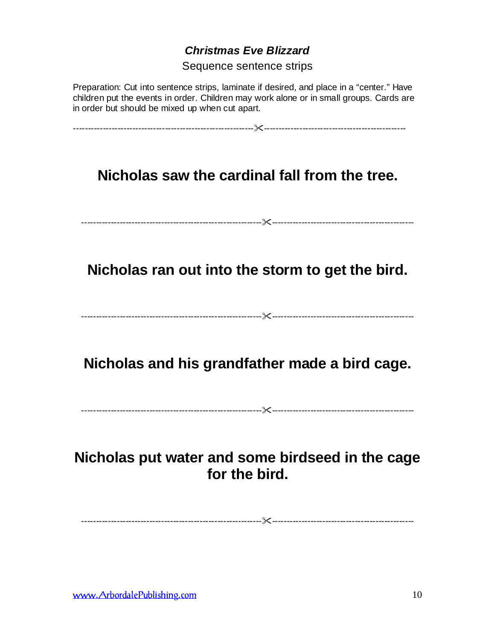# *Christmas Eve Blizzard*

Sequence sentence strips

Preparation: Cut into sentence strips, laminate if desired, and place in a "center." Have children put the events in order. Children may work alone or in small groups. Cards are in order but should be mixed up when cut apart.

-------------------------------------------------------------------------------------------------------------

**Nicholas saw the cardinal fall from the tree.**

-------------------------------------------------------------------------------------------------------------

**Nicholas ran out into the storm to get the bird.**

-------------------------------------------------------------------------------------------------------------

**Nicholas and his grandfather made a bird cage.**

-------------------------------------------------------------------------------------------------------------

**Nicholas put water and some birdseed in the cage for the bird.**

-------------------------------------------------------------------------------------------------------------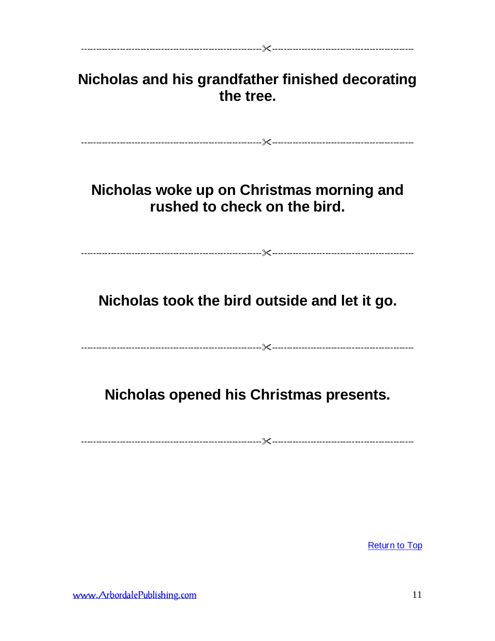| Nicholas and his grandfather finished decorating<br>the tree.             |
|---------------------------------------------------------------------------|
| Nicholas woke up on Christmas morning and<br>rushed to check on the bird. |
| Nicholas took the bird outside and let it go.                             |
| Nicholas opened his Christmas presents.                                   |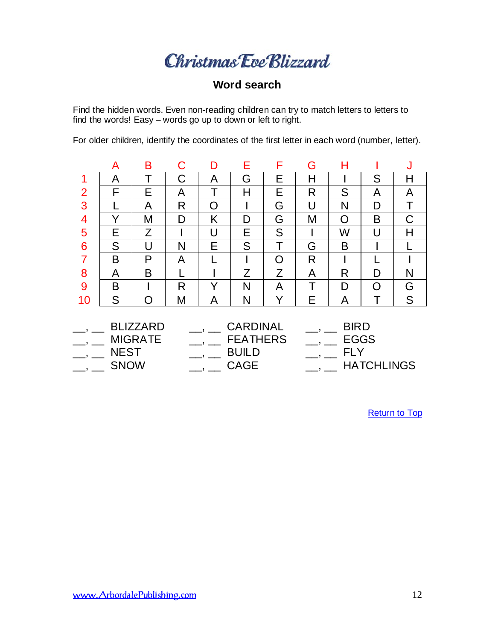# Christmas Eve Blizzard

# **Word search**

Find the hidden words. Even non-reading children can try to match letters to letters to find the words! Easy – words go up to down or left to right.

|                                    | A           | Β              | С | D | Е               | F | G           | н           |                   | J |
|------------------------------------|-------------|----------------|---|---|-----------------|---|-------------|-------------|-------------------|---|
| 1                                  | А           |                | С | A | G               | Е | Н           |             | S                 | Н |
| $\overline{2}$                     | F           | E              | A |   | Н               | E | R           | S           | A                 | A |
| 3                                  |             | A              | R | O |                 | G | U           | N           | D                 |   |
| $\overline{4}$                     | Υ           | M              | D | Κ | D               | G | Μ           | O           | B                 |   |
| 5                                  | Е           | Z              |   | U | E               | S |             | W           | U                 | Н |
| 6                                  | S           | U              | N | E | S               | Τ | G           | B           |                   |   |
| $\overline{7}$                     | B           | P              | A |   |                 | O | R           |             |                   |   |
| 8                                  | A           | B              |   |   | Z               | Z | A           | R           | D                 | N |
| 9                                  | B           |                | R | Y | N               | A | Т           | D           | O                 | G |
| 10                                 | S           | Ω              | M | A | N               | Y | E           | A           | Т                 | S |
| <b>CARDINAL</b><br><b>BLIZZARD</b> |             |                |   |   |                 |   | <b>BIRD</b> |             |                   |   |
|                                    |             | <b>MIGRATE</b> |   |   | <b>FEATHERS</b> |   |             | <b>EGGS</b> |                   |   |
|                                    | <b>NEST</b> |                |   |   | <b>BUILD</b>    |   |             | <b>FLY</b>  |                   |   |
|                                    | <b>SNOW</b> |                |   |   | <b>CAGE</b>     |   |             |             | <b>HATCHLINGS</b> |   |

For older children, identify the coordinates of the first letter in each word (number, letter).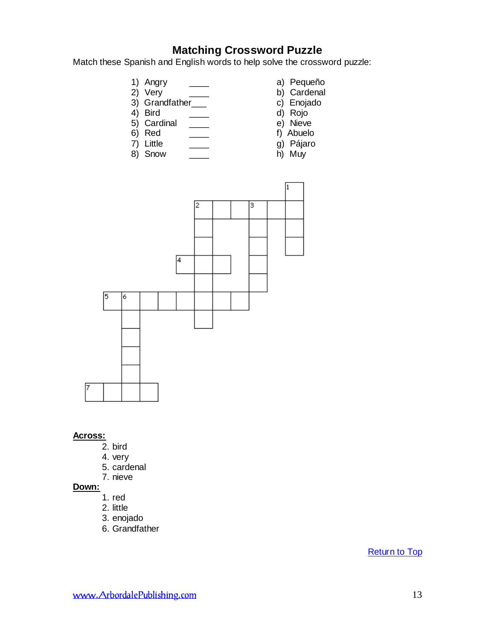# **Matching Crossword Puzzle**

Match these Spanish and English words to help solve the crossword puzzle:

- 
- 2) Very b) Cardenal<br>
3) Grandfather b) Cardenal<br>
c) Enojado
- $3)$  Grandfather<sub>——</sub><br>4) Bird
- 
- 5) Cardinal  $\frac{\ }{\ }$   $\frac{\ }{\ }$
- 
- 
- 8) Snow
- 1) Angry \_\_\_\_ a) Pequeño
	-
	-
	- d) Rojo<br>e) Nieve
	-
- 6) Red \_\_\_\_ f) Abuelo
	- g) Pájaro<br>h) Muy
	-



#### **Across:**

- 2. bird
- 4. very
- 5. cardenal
- 7. nieve

#### **Down:**

- 1. red
- 2. little
- 3. enojado
- 6. Grandfather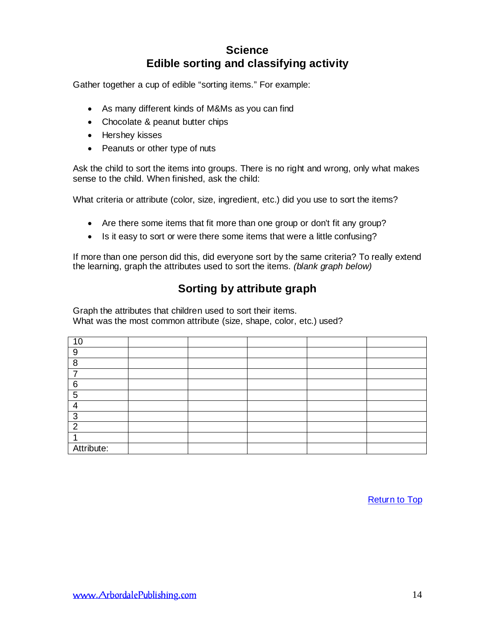# **Science Edible sorting and classifying activity**

<span id="page-13-0"></span>Gather together a cup of edible "sorting items." For example:

- As many different kinds of M&Ms as you can find
- Chocolate & peanut butter chips
- Hershey kisses
- Peanuts or other type of nuts

Ask the child to sort the items into groups. There is no right and wrong, only what makes sense to the child. When finished, ask the child:

What criteria or attribute (color, size, ingredient, etc.) did you use to sort the items?

- Are there some items that fit more than one group or don't fit any group?
- Is it easy to sort or were there some items that were a little confusing?

If more than one person did this, did everyone sort by the same criteria? To really extend the learning, graph the attributes used to sort the items. *(blank graph below)*

# **Sorting by attribute graph**

Graph the attributes that children used to sort their items. What was the most common attribute (size, shape, color, etc.) used?

| 10         |  |  |  |
|------------|--|--|--|
| 9          |  |  |  |
| 8          |  |  |  |
| ⇁          |  |  |  |
| 6          |  |  |  |
| 5          |  |  |  |
| 4          |  |  |  |
| 3          |  |  |  |
| ົ          |  |  |  |
|            |  |  |  |
| Attribute: |  |  |  |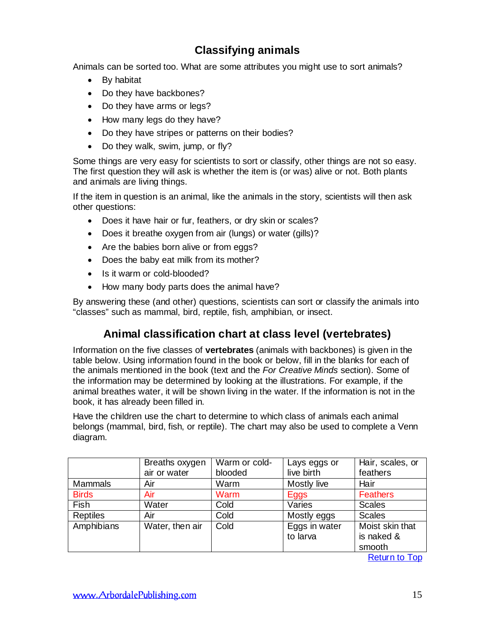# **Classifying animals**

Animals can be sorted too. What are some attributes you might use to sort animals?

- By habitat
- Do they have backbones?
- Do they have arms or legs?
- How many legs do they have?
- Do they have stripes or patterns on their bodies?
- Do they walk, swim, jump, or fly?

Some things are very easy for scientists to sort or classify, other things are not so easy. The first question they will ask is whether the item is (or was) alive or not. Both plants and animals are living things.

If the item in question is an animal, like the animals in the story, scientists will then ask other questions:

- Does it have hair or fur, feathers, or dry skin or scales?
- Does it breathe oxygen from air (lungs) or water (gills)?
- Are the babies born alive or from eggs?
- Does the baby eat milk from its mother?
- Is it warm or cold-blooded?
- How many body parts does the animal have?

By answering these (and other) questions, scientists can sort or classify the animals into "classes" such as mammal, bird, reptile, fish, amphibian, or insect.

# **Animal classification chart at class level (vertebrates)**

Information on the five classes of **vertebrates** (animals with backbones) is given in the table below. Using information found in the book or below, fill in the blanks for each of the animals mentioned in the book (text and the *For Creative Minds* section). Some of the information may be determined by looking at the illustrations. For example, if the animal breathes water, it will be shown living in the water. If the information is not in the book, it has already been filled in.

Have the children use the chart to determine to which class of animals each animal belongs (mammal, bird, fish, or reptile). The chart may also be used to complete a Venn diagram.

|                 | Breaths oxygen<br>air or water | Warm or cold-<br>blooded | Lays eggs or<br>live birth | Hair, scales, or<br>feathers |
|-----------------|--------------------------------|--------------------------|----------------------------|------------------------------|
| <b>Mammals</b>  | Air                            | Warm                     | Mostly live                | Hair                         |
| <b>Birds</b>    | Air                            | Warm                     | Eggs                       | <b>Feathers</b>              |
| <b>Fish</b>     | Water                          | Cold                     | Varies                     | <b>Scales</b>                |
| <b>Reptiles</b> | Air                            | Cold                     | Mostly eggs                | <b>Scales</b>                |
| Amphibians      | Water, then air                | Cold                     | Eggs in water              | Moist skin that              |
|                 |                                |                          | to larva                   | is naked &                   |
|                 |                                |                          |                            | smooth                       |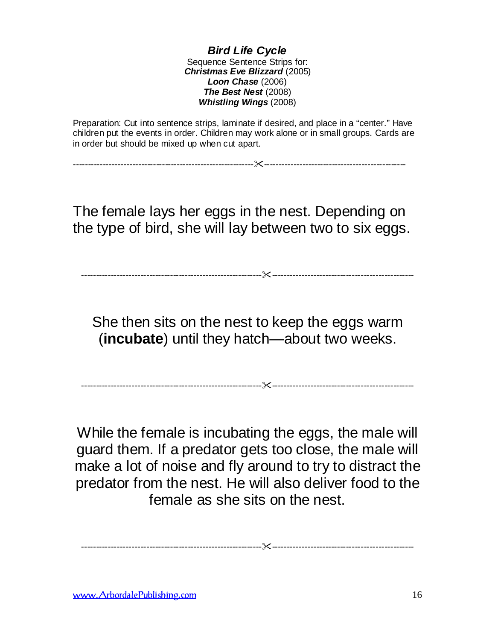*Bird Life Cycle* Sequence Sentence Strips for: *Christmas Eve Blizzard* (2005) *Loon Chase* (2006) *The Best Nest* (2008) *Whistling Wings* (2008)

Preparation: Cut into sentence strips, laminate if desired, and place in a "center." Have children put the events in order. Children may work alone or in small groups. Cards are in order but should be mixed up when cut apart.

-------------------------------------------------------------------------------------------------------------

The female lays her eggs in the nest. Depending on the type of bird, she will lay between two to six eggs.

-------------------------------------------------------------------------------------------------------------

She then sits on the nest to keep the eggs warm (**incubate**) until they hatch—about two weeks.

-------------------------------------------------------------------------------------------------------------

While the female is incubating the eggs, the male will guard them. If a predator gets too close, the male will make a lot of noise and fly around to try to distract the predator from the nest. He will also deliver food to the female as she sits on the nest.

-------------------------------------------------------------------------------------------------------------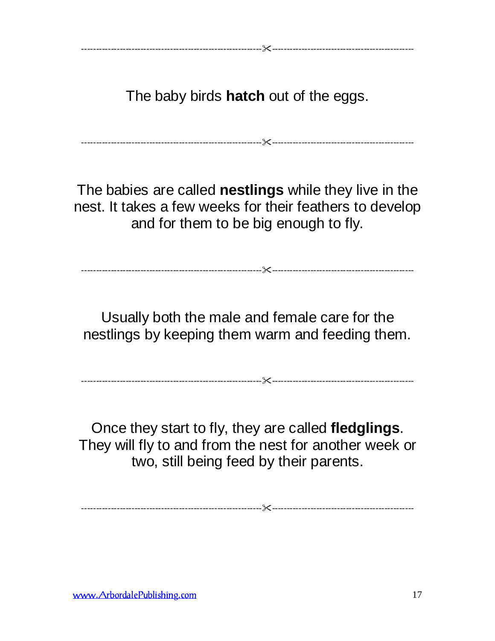The baby birds **hatch** out of the eggs.

-------------------------------------------------------------------------------------------------------------

The babies are called **nestlings** while they live in the nest. It takes a few weeks for their feathers to develop and for them to be big enough to fly.

Usually both the male and female care for the nestlings by keeping them warm and feeding them.

-------------------------------------------------------------------------------------------------------------

-------------------------------------------------------------------------------------------------------------

Once they start to fly, they are called **fledglings**. They will fly to and from the nest for another week or two, still being feed by their parents.

-------------------------------------------------------------------------------------------------------------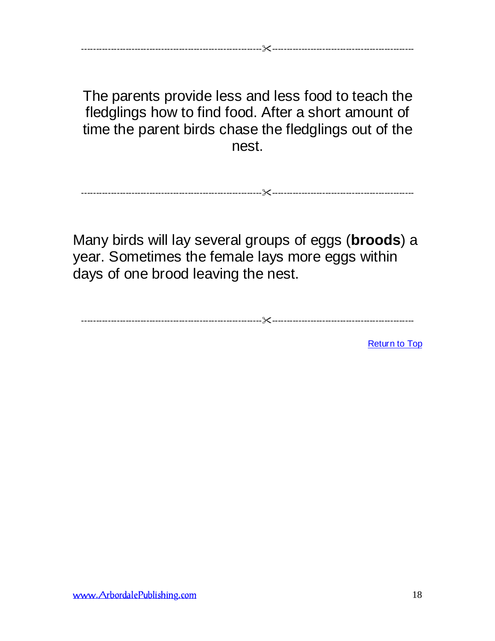The parents provide less and less food to teach the fledglings how to find food. After a short amount of time the parent birds chase the fledglings out of the nest.

-------------------------------------------------------------------------------------------------------------

-------------------------------------------------------------------------------------------------------------

Many birds will lay several groups of eggs (**broods**) a year. Sometimes the female lays more eggs within days of one brood leaving the nest.

-------------------------------------------------------------------------------------------------------------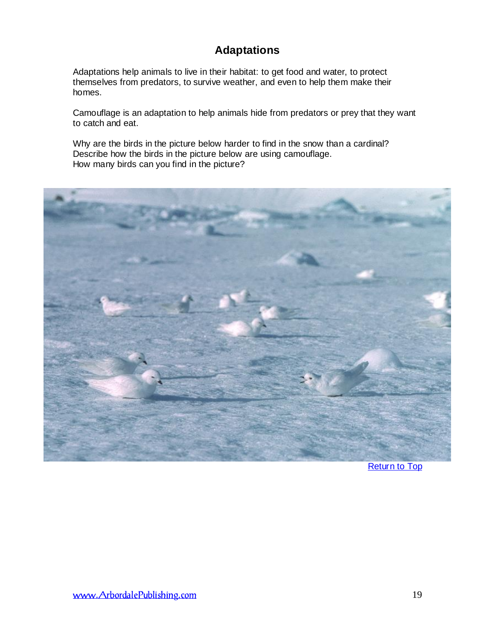# **Adaptations**

Adaptations help animals to live in their habitat: to get food and water, to protect themselves from predators, to survive weather, and even to help them make their homes.

Camouflage is an adaptation to help animals hide from predators or prey that they want to catch and eat.

Why are the birds in the picture below harder to find in the snow than a cardinal? Describe how the birds in the picture below are using camouflage. How many birds can you find in the picture?



[Return to Top](#page-0-0)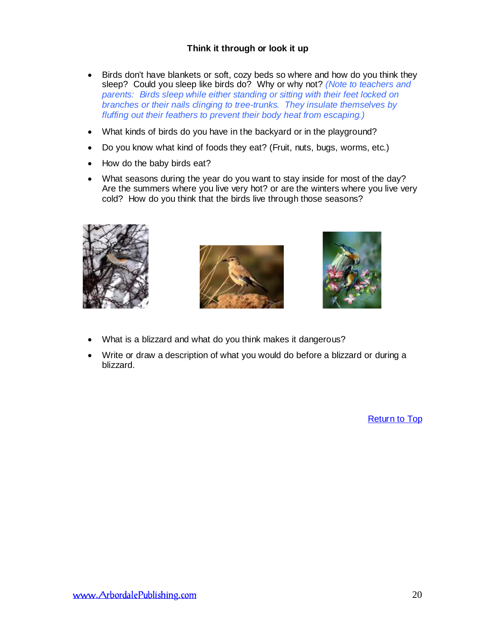#### **Think it through or look it up**

- Birds don't have blankets or soft, cozy beds so where and how do you think they sleep? Could you sleep like birds do? Why or why not? *(Note to teachers and parents: Birds sleep while either standing or sitting with their feet locked on branches or their nails clinging to tree-trunks. They insulate themselves by fluffing out their feathers to prevent their body heat from escaping.)*
- What kinds of birds do you have in the backyard or in the playground?
- Do you know what kind of foods they eat? (Fruit, nuts, bugs, worms, etc.)
- How do the baby birds eat?
- What seasons during the year do you want to stay inside for most of the day? Are the summers where you live very hot? or are the winters where you live very cold? How do you think that the birds live through those seasons?







- What is a blizzard and what do you think makes it dangerous?
- Write or draw a description of what you would do before a blizzard or during a blizzard.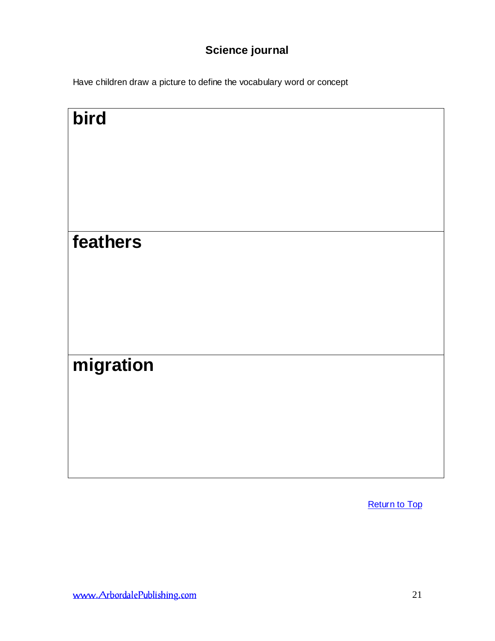# **Science journal**

Have children draw a picture to define the vocabulary word or concept

| bird      |  |  |
|-----------|--|--|
| feathers  |  |  |
| migration |  |  |
|           |  |  |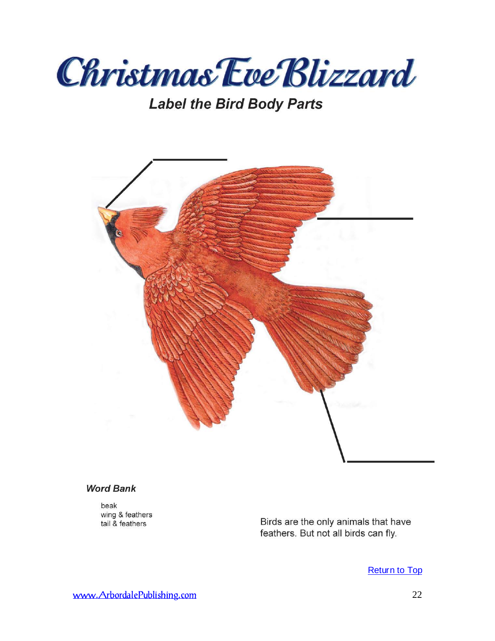

# **Label the Bird Body Parts**



#### **Word Bank**

beak wing & feathers tail & feathers

Birds are the only animals that have feathers. But not all birds can fly.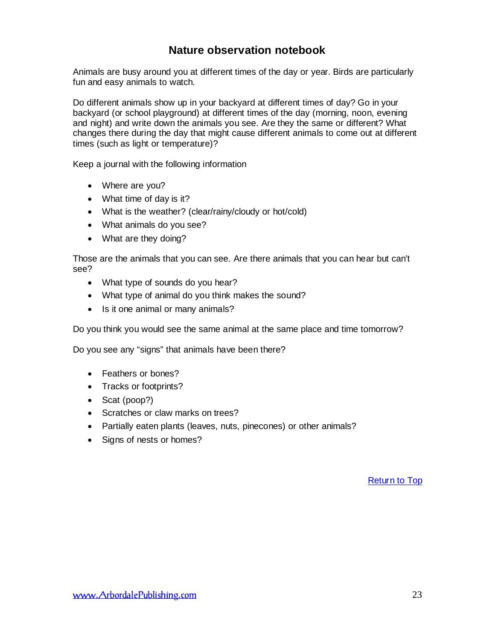# **Nature observation notebook**

Animals are busy around you at different times of the day or year. Birds are particularly fun and easy animals to watch.

Do different animals show up in your backyard at different times of day? Go in your backyard (or school playground) at different times of the day (morning, noon, evening and night) and write down the animals you see. Are they the same or different? What changes there during the day that might cause different animals to come out at different times (such as light or temperature)?

Keep a journal with the following information

- Where are you?
- What time of day is it?
- What is the weather? (clear/rainy/cloudy or hot/cold)
- What animals do you see?
- What are they doing?

Those are the animals that you can see. Are there animals that you can hear but can't see?

- What type of sounds do you hear?
- What type of animal do you think makes the sound?
- Is it one animal or many animals?

Do you think you would see the same animal at the same place and time tomorrow?

Do you see any "signs" that animals have been there?

- Feathers or bones?
- Tracks or footprints?
- Scat (poop?)
- Scratches or claw marks on trees?
- Partially eaten plants (leaves, nuts, pinecones) or other animals?
- Signs of nests or homes?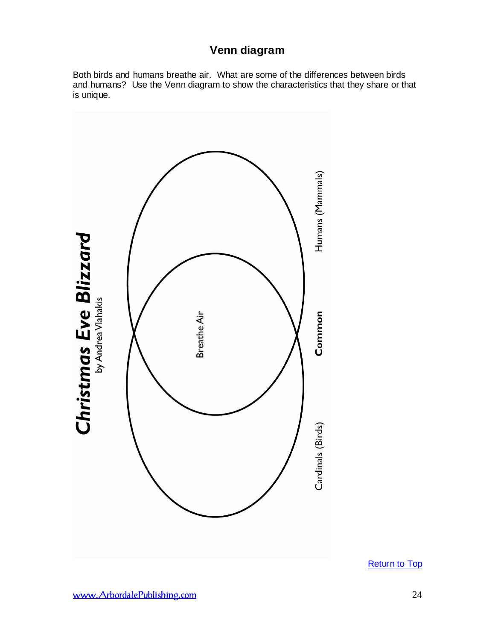# **Venn diagram**

Both birds and humans breathe air. What are some of the differences between birds and humans? Use the Venn diagram to show the characteristics that they share or that is unique.

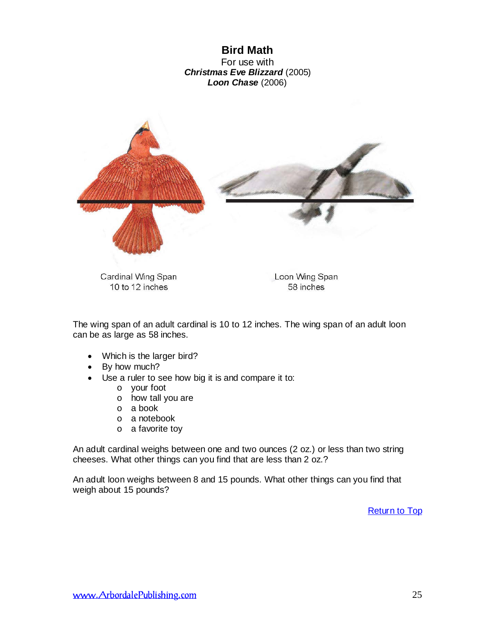**Bird Math** For use with *Christmas Eve Blizzard* (2005) *Loon Chase* (2006)

<span id="page-24-0"></span>

The wing span of an adult cardinal is 10 to 12 inches. The wing span of an adult loon can be as large as 58 inches.

- Which is the larger bird?
- By how much?
- Use a ruler to see how big it is and compare it to:
	- o your foot
	- o how tall you are
	- o a book
	- o a notebook
	- o a favorite toy

An adult cardinal weighs between one and two ounces (2 oz.) or less than two string cheeses. What other things can you find that are less than 2 oz.?

An adult loon weighs between 8 and 15 pounds. What other things can you find that weigh about 15 pounds?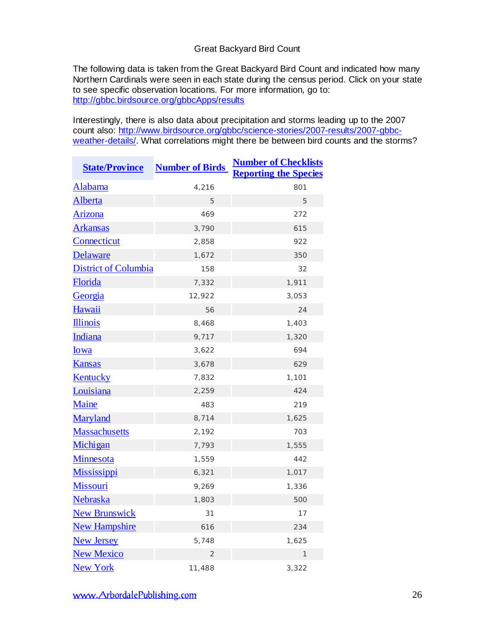#### Great Backyard Bird Count

The following data is taken from the Great Backyard Bird Count and indicated how many Northern Cardinals were seen in each state during the census period. Click on your state to see specific observation locations. For more information, go to: <http://gbbc.birdsource.org/gbbcApps/results>

Interestingly, there is also data about precipitation and storms leading up to the 2007 count also: [http://www.birdsource.org/gbbc/science-stories/2007-results/2007-gbbc](http://www.birdsource.org/gbbc/science-stories/2007-results/2007-gbbc-weather-details/)[weather-details/.](http://www.birdsource.org/gbbc/science-stories/2007-results/2007-gbbc-weather-details/) What correlations might there be between bird counts and the storms?

| <b>State/Province</b>       | <b>Number of Birds</b> | <b>Number of Checklists</b><br><b>Reporting the Species</b> |
|-----------------------------|------------------------|-------------------------------------------------------------|
| Alabama                     | 4,216                  | 801                                                         |
| <b>Alberta</b>              | 5                      | 5                                                           |
| Arizona                     | 469                    | 272                                                         |
| <b>Arkansas</b>             | 3,790                  | 615                                                         |
| Connecticut                 | 2,858                  | 922                                                         |
| Delaware                    | 1,672                  | 350                                                         |
| <b>District of Columbia</b> | 158                    | 32                                                          |
| Florida                     | 7,332                  | 1,911                                                       |
| Georgia                     | 12,922                 | 3,053                                                       |
| Hawaii                      | 56                     | 24                                                          |
| <b>Illinois</b>             | 8,468                  | 1,403                                                       |
| Indiana                     | 9,717                  | 1,320                                                       |
| <b>lowa</b>                 | 3,622                  | 694                                                         |
| <b>Kansas</b>               | 3,678                  | 629                                                         |
| Kentucky                    | 7,832                  | 1,101                                                       |
| Louisiana                   | 2,259                  | 424                                                         |
| Maine                       | 483                    | 219                                                         |
| Maryland                    | 8,714                  | 1,625                                                       |
| <b>Massachusetts</b>        | 2,192                  | 703                                                         |
| Michigan                    | 7,793                  | 1,555                                                       |
| Minnesota                   | 1,559                  | 442                                                         |
| <b>Mississippi</b>          | 6,321                  | 1,017                                                       |
| <b>Missouri</b>             | 9,269                  | 1,336                                                       |
| Nebraska                    | 1,803                  | 500                                                         |
| <b>New Brunswick</b>        | 31                     | 17                                                          |
| <b>New Hampshire</b>        | 616                    | 234                                                         |
| <b>New Jersey</b>           | 5,748                  | 1,625                                                       |
| <b>New Mexico</b>           | $\overline{2}$         | 1                                                           |
| <b>New York</b>             | 11,488                 | 3,322                                                       |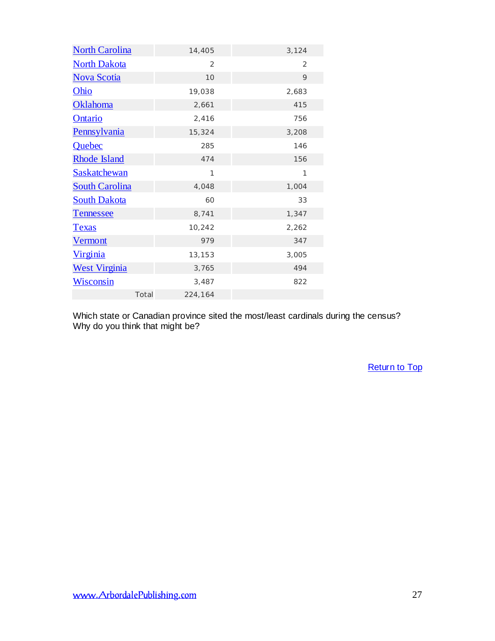| <b>North Carolina</b> |       | 14,405  | 3,124        |  |
|-----------------------|-------|---------|--------------|--|
| <b>North Dakota</b>   |       | 2       | 2            |  |
| <b>Nova Scotia</b>    |       | 10      | 9            |  |
| <b>Ohio</b>           |       | 19,038  | 2,683        |  |
| <b>Oklahoma</b>       |       | 2,661   | 415          |  |
| Ontario               |       | 2,416   | 756          |  |
| <b>Pennsylvania</b>   |       | 15,324  | 3,208        |  |
| Quebec                |       | 285     | 146          |  |
| <b>Rhode Island</b>   |       | 474     | 156          |  |
| <b>Saskatchewan</b>   |       | 1       | $\mathbf{1}$ |  |
| <b>South Carolina</b> |       | 4,048   | 1,004        |  |
| <b>South Dakota</b>   |       | 60      | 33           |  |
| <b>Tennessee</b>      |       | 8,741   | 1,347        |  |
| <b>Texas</b>          |       | 10,242  | 2,262        |  |
| <b>Vermont</b>        |       | 979     | 347          |  |
| <u>Virginia</u>       |       | 13,153  | 3,005        |  |
| <b>West Virginia</b>  |       | 3,765   | 494          |  |
| <b>Wisconsin</b>      |       | 3,487   | 822          |  |
|                       | Total | 224,164 |              |  |

Which state or Canadian province sited the most/least cardinals during the census? Why do you think that might be?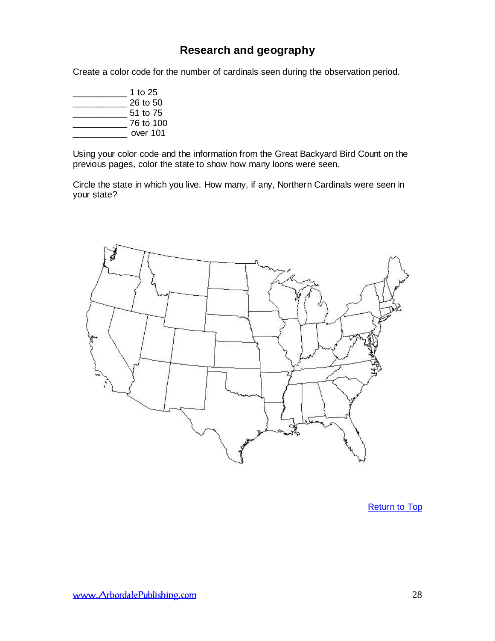# **Research and geography**

<span id="page-27-0"></span>Create a color code for the number of cardinals seen during the observation period.

\_\_\_\_\_\_\_\_\_\_\_ 1 to 25 \_\_\_\_\_\_\_\_\_\_\_ 26 to 50  $51$  to  $75$ \_\_\_\_\_\_\_\_\_\_\_ 76 to 100 \_\_\_\_\_\_\_\_\_\_\_ over 101

Using your color code and the information from the Great Backyard Bird Count on the previous pages, color the state to show how many loons were seen.

Circle the state in which you live. How many, if any, Northern Cardinals were seen in your state?

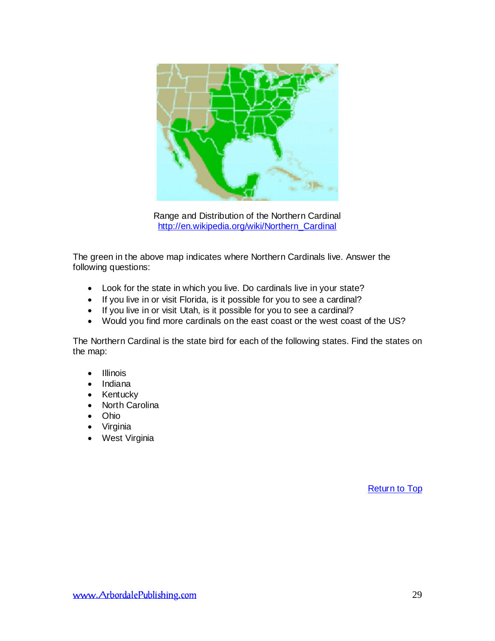

Range and Distribution of the Northern Cardinal [http://en.wikipedia.org/wiki/Northern\\_Cardinal](http://en.wikipedia.org/wiki/Northern_Cardinal)

The green in the above map indicates where Northern Cardinals live. Answer the following questions:

- Look for the state in which you live. Do cardinals live in your state?
- If you live in or visit Florida, is it possible for you to see a cardinal?
- If you live in or visit Utah, is it possible for you to see a cardinal?
- Would you find more cardinals on the east coast or the west coast of the US?

The Northern Cardinal is the state bird for each of the following states. Find the states on the map:

- Illinois
- Indiana
- Kentucky
- North Carolina
- Ohio
- Virginia
- West Virginia